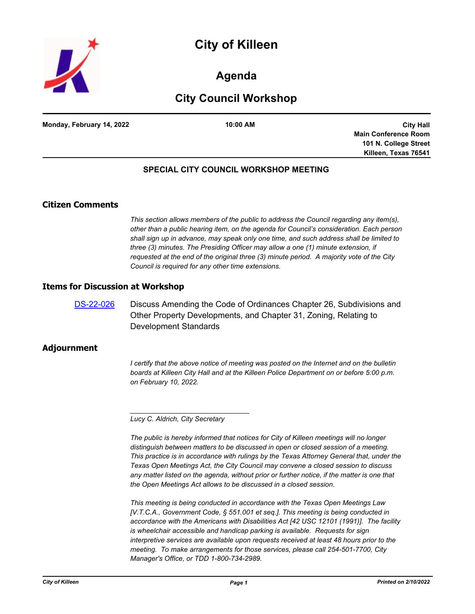



# **Agenda**

# **City Council Workshop**

**Monday, February 14, 2022 10:00 AM**

**City Hall Main Conference Room 101 N. College Street Killeen, Texas 76541**

# **SPECIAL CITY COUNCIL WORKSHOP MEETING**

# **Citizen Comments**

*This section allows members of the public to address the Council regarding any item(s), other than a public hearing item, on the agenda for Council's consideration. Each person shall sign up in advance, may speak only one time, and such address shall be limited to three (3) minutes. The Presiding Officer may allow a one (1) minute extension, if requested at the end of the original three (3) minute period. A majority vote of the City Council is required for any other time extensions.*

#### **Items for Discussion at Workshop**

[DS-22-026](http://killeen.legistar.com/gateway.aspx?m=l&id=/matter.aspx?key=5994) Discuss Amending the Code of Ordinances Chapter 26, Subdivisions and Other Property Developments, and Chapter 31, Zoning, Relating to Development Standards

## **Adjournment**

*I* certify that the above notice of meeting was posted on the Internet and on the bulletin *boards at Killeen City Hall and at the Killeen Police Department on or before 5:00 p.m. on February 10, 2022.*

*Lucy C. Aldrich, City Secretary* 

*\_\_\_\_\_\_\_\_\_\_\_\_\_\_\_\_\_\_\_\_\_\_\_\_\_\_\_\_\_\_\_*

*The public is hereby informed that notices for City of Killeen meetings will no longer distinguish between matters to be discussed in open or closed session of a meeting. This practice is in accordance with rulings by the Texas Attorney General that, under the Texas Open Meetings Act, the City Council may convene a closed session to discuss*  any matter listed on the agenda, without prior or further notice, if the matter is one that *the Open Meetings Act allows to be discussed in a closed session.*

*This meeting is being conducted in accordance with the Texas Open Meetings Law [V.T.C.A., Government Code, § 551.001 et seq.]. This meeting is being conducted in accordance with the Americans with Disabilities Act [42 USC 12101 (1991)]. The facility is wheelchair accessible and handicap parking is available. Requests for sign interpretive services are available upon requests received at least 48 hours prior to the meeting. To make arrangements for those services, please call 254-501-7700, City Manager's Office, or TDD 1-800-734-2989.*